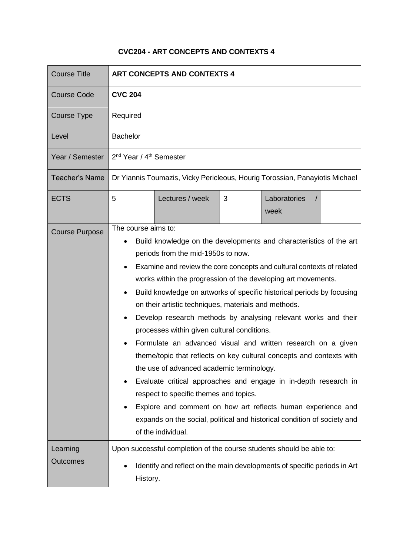## **CVC204 - ART CONCEPTS AND CONTEXTS 4**

| <b>Course Title</b>         | <b>ART CONCEPTS AND CONTEXTS 4</b>                                                                                                                                                                                                                                                                                                                                                                                                                                                                                                                                                                                                                                                                                                                                                                                                                                                                                                                                                                                         |                 |   |                                  |  |
|-----------------------------|----------------------------------------------------------------------------------------------------------------------------------------------------------------------------------------------------------------------------------------------------------------------------------------------------------------------------------------------------------------------------------------------------------------------------------------------------------------------------------------------------------------------------------------------------------------------------------------------------------------------------------------------------------------------------------------------------------------------------------------------------------------------------------------------------------------------------------------------------------------------------------------------------------------------------------------------------------------------------------------------------------------------------|-----------------|---|----------------------------------|--|
| <b>Course Code</b>          | <b>CVC 204</b>                                                                                                                                                                                                                                                                                                                                                                                                                                                                                                                                                                                                                                                                                                                                                                                                                                                                                                                                                                                                             |                 |   |                                  |  |
| Course Type                 | Required                                                                                                                                                                                                                                                                                                                                                                                                                                                                                                                                                                                                                                                                                                                                                                                                                                                                                                                                                                                                                   |                 |   |                                  |  |
| Level                       | <b>Bachelor</b>                                                                                                                                                                                                                                                                                                                                                                                                                                                                                                                                                                                                                                                                                                                                                                                                                                                                                                                                                                                                            |                 |   |                                  |  |
| Year / Semester             | 2 <sup>nd</sup> Year / 4 <sup>th</sup> Semester                                                                                                                                                                                                                                                                                                                                                                                                                                                                                                                                                                                                                                                                                                                                                                                                                                                                                                                                                                            |                 |   |                                  |  |
| <b>Teacher's Name</b>       | Dr Yiannis Toumazis, Vicky Pericleous, Hourig Torossian, Panayiotis Michael                                                                                                                                                                                                                                                                                                                                                                                                                                                                                                                                                                                                                                                                                                                                                                                                                                                                                                                                                |                 |   |                                  |  |
| <b>ECTS</b>                 | 5                                                                                                                                                                                                                                                                                                                                                                                                                                                                                                                                                                                                                                                                                                                                                                                                                                                                                                                                                                                                                          | Lectures / week | 3 | Laboratories<br>$\prime$<br>week |  |
| <b>Course Purpose</b>       | The course aims to:<br>Build knowledge on the developments and characteristics of the art<br>periods from the mid-1950s to now.<br>Examine and review the core concepts and cultural contexts of related<br>works within the progression of the developing art movements.<br>Build knowledge on artworks of specific historical periods by focusing<br>$\bullet$<br>on their artistic techniques, materials and methods.<br>Develop research methods by analysing relevant works and their<br>$\bullet$<br>processes within given cultural conditions.<br>Formulate an advanced visual and written research on a given<br>theme/topic that reflects on key cultural concepts and contexts with<br>the use of advanced academic terminology.<br>Evaluate critical approaches and engage in in-depth research in<br>respect to specific themes and topics.<br>Explore and comment on how art reflects human experience and<br>expands on the social, political and historical condition of society and<br>of the individual. |                 |   |                                  |  |
| Learning<br><b>Outcomes</b> | Upon successful completion of the course students should be able to:<br>Identify and reflect on the main developments of specific periods in Art<br>History.                                                                                                                                                                                                                                                                                                                                                                                                                                                                                                                                                                                                                                                                                                                                                                                                                                                               |                 |   |                                  |  |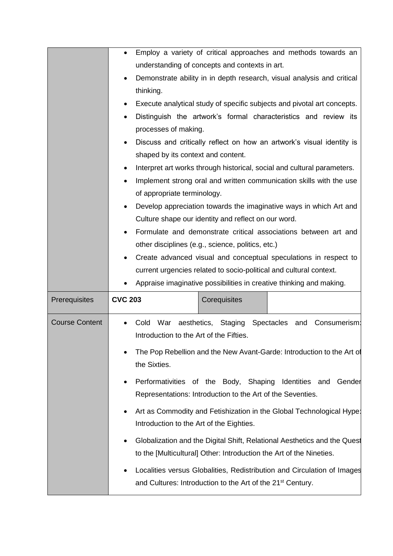|                       | Employ a variety of critical approaches and methods towards an<br>$\bullet$           |  |  |  |
|-----------------------|---------------------------------------------------------------------------------------|--|--|--|
|                       | understanding of concepts and contexts in art.                                        |  |  |  |
|                       | Demonstrate ability in in depth research, visual analysis and critical                |  |  |  |
|                       | thinking.                                                                             |  |  |  |
|                       | Execute analytical study of specific subjects and pivotal art concepts.<br>$\bullet$  |  |  |  |
|                       | Distinguish the artwork's formal characteristics and review its<br>$\bullet$          |  |  |  |
|                       | processes of making.                                                                  |  |  |  |
|                       | Discuss and critically reflect on how an artwork's visual identity is                 |  |  |  |
|                       | shaped by its context and content.                                                    |  |  |  |
|                       | Interpret art works through historical, social and cultural parameters.               |  |  |  |
|                       | Implement strong oral and written communication skills with the use                   |  |  |  |
|                       | of appropriate terminology.                                                           |  |  |  |
|                       | Develop appreciation towards the imaginative ways in which Art and                    |  |  |  |
|                       | Culture shape our identity and reflect on our word.                                   |  |  |  |
|                       | Formulate and demonstrate critical associations between art and                       |  |  |  |
|                       | other disciplines (e.g., science, politics, etc.)                                     |  |  |  |
|                       | Create advanced visual and conceptual speculations in respect to<br>٠                 |  |  |  |
|                       |                                                                                       |  |  |  |
|                       | current urgencies related to socio-political and cultural context.                    |  |  |  |
|                       | Appraise imaginative possibilities in creative thinking and making.                   |  |  |  |
| Prerequisites         | <b>CVC 203</b><br>Corequisites                                                        |  |  |  |
| <b>Course Content</b> | Cold War aesthetics, Staging Spectacles and Consumerism:<br>$\bullet$                 |  |  |  |
|                       | Introduction to the Art of the Fifties.                                               |  |  |  |
|                       |                                                                                       |  |  |  |
|                       | The Pop Rebellion and the New Avant-Garde: Introduction to the Art of<br>the Sixties. |  |  |  |
|                       |                                                                                       |  |  |  |
|                       | Performativities of the Body, Shaping Identities and Gender                           |  |  |  |
|                       | Representations: Introduction to the Art of the Seventies.                            |  |  |  |
|                       | Art as Commodity and Fetishization in the Global Technological Hype:<br>٠             |  |  |  |
|                       | Introduction to the Art of the Eighties.                                              |  |  |  |
|                       | Globalization and the Digital Shift, Relational Aesthetics and the Quest<br>٠         |  |  |  |
|                       | to the [Multicultural] Other: Introduction the Art of the Nineties.                   |  |  |  |
|                       | Localities versus Globalities, Redistribution and Circulation of Images<br>٠          |  |  |  |
|                       | and Cultures: Introduction to the Art of the 21 <sup>st</sup> Century.                |  |  |  |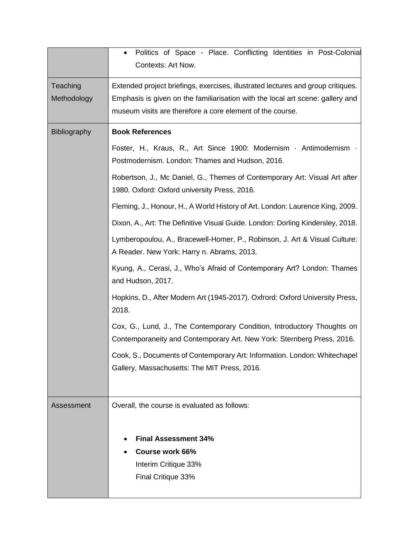|                         | Politics of Space - Place. Conflicting Identities in Post-Colonial<br>$\bullet$<br><b>Contexts: Art Now.</b>                                                                                                                    |  |  |  |
|-------------------------|---------------------------------------------------------------------------------------------------------------------------------------------------------------------------------------------------------------------------------|--|--|--|
| Teaching<br>Methodology | Extended project briefings, exercises, illustrated lectures and group critiques.<br>Emphasis is given on the familiarisation with the local art scene: gallery and<br>museum visits are therefore a core element of the course. |  |  |  |
| Bibliography            | <b>Book References</b>                                                                                                                                                                                                          |  |  |  |
|                         | Foster, H., Kraus, R., Art Since 1900: Modernism · Antimodernism ·<br>Postmodernism. London: Thames and Hudson, 2016.                                                                                                           |  |  |  |
|                         | Robertson, J., Mc Daniel, G., Themes of Contemporary Art: Visual Art after<br>1980. Oxford: Oxford university Press, 2016.                                                                                                      |  |  |  |
|                         | Fleming, J., Honour, H., A World History of Art. London: Laurence King, 2009.                                                                                                                                                   |  |  |  |
|                         | Dixon, A., Art: The Definitive Visual Guide. London: Dorling Kindersley, 2018.                                                                                                                                                  |  |  |  |
|                         | Lymberopoulou, A., Bracewell-Homer, P., Robinson, J. Art & Visual Culture:<br>A Reader. New York: Harry n. Abrams, 2013.                                                                                                        |  |  |  |
|                         | Kyung, A., Cerasi, J., Who's Afraid of Contemporary Art? London: Thames<br>and Hudson, 2017.                                                                                                                                    |  |  |  |
|                         | Hopkins, D., After Modern Art (1945-2017). Oxfrord: Oxford University Press,<br>2018.                                                                                                                                           |  |  |  |
|                         | Cox, G., Lund, J., The Contemporary Condition, Introductory Thoughts on<br>Contemporaneity and Contemporary Art. New York: Sternberg Press, 2016.                                                                               |  |  |  |
|                         | Cook, S., Documents of Contemporary Art: Information. London: Whitechapel<br>Gallery, Massachusetts: The MIT Press, 2016.                                                                                                       |  |  |  |
| Assessment              | Overall, the course is evaluated as follows:                                                                                                                                                                                    |  |  |  |
|                         |                                                                                                                                                                                                                                 |  |  |  |
|                         | <b>Final Assessment 34%</b>                                                                                                                                                                                                     |  |  |  |
|                         | <b>Course work 66%</b>                                                                                                                                                                                                          |  |  |  |
|                         | Interim Critique 33%                                                                                                                                                                                                            |  |  |  |
|                         | Final Critique 33%                                                                                                                                                                                                              |  |  |  |